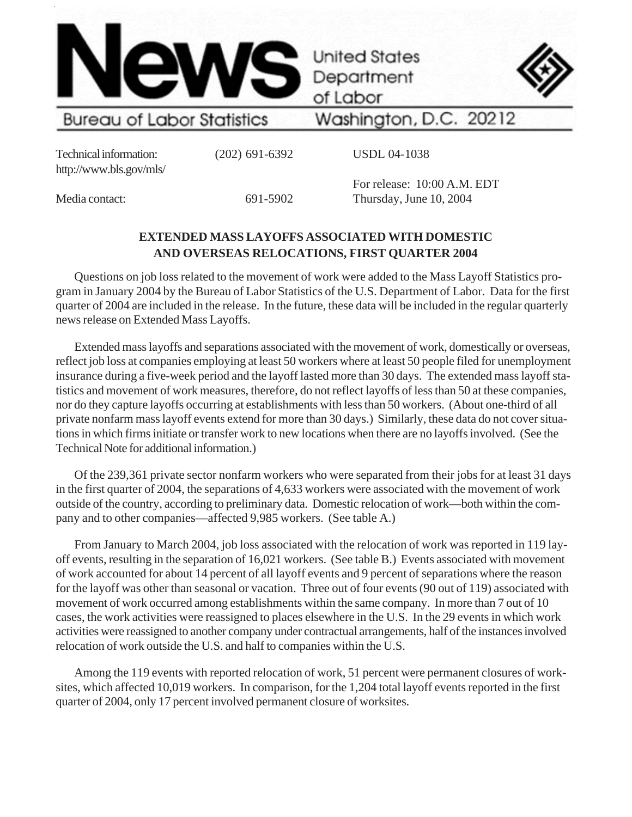

Department of Labor

**United States** 



**Bureau of Labor Statistics** 

Washington, D.C. 20212

Technical information: (202) 691-6392 http://www.bls.gov/mls/

USDL 04-1038

Media contact: 691-5902

For release: 10:00 A.M. EDT Thursday, June 10, 2004

# **EXTENDED MASS LAYOFFS ASSOCIATED WITH DOMESTIC AND OVERSEAS RELOCATIONS, FIRST QUARTER 2004**

Questions on job loss related to the movement of work were added to the Mass Layoff Statistics program in January 2004 by the Bureau of Labor Statistics of the U.S. Department of Labor. Data for the first quarter of 2004 are included in the release. In the future, these data will be included in the regular quarterly news release on Extended Mass Layoffs.

Extended mass layoffs and separations associated with the movement of work, domestically or overseas, reflect job loss at companies employing at least 50 workers where at least 50 people filed for unemployment insurance during a five-week period and the layoff lasted more than 30 days. The extended mass layoff statistics and movement of work measures, therefore, do not reflect layoffs of less than 50 at these companies, nor do they capture layoffs occurring at establishments with less than 50 workers. (About one-third of all private nonfarm mass layoff events extend for more than 30 days.) Similarly, these data do not cover situations in which firms initiate or transfer work to new locations when there are no layoffs involved. (See the Technical Note for additional information.)

Of the 239,361 private sector nonfarm workers who were separated from their jobs for at least 31 days in the first quarter of 2004, the separations of 4,633 workers were associated with the movement of work outside of the country, according to preliminary data. Domestic relocation of work—both within the company and to other companies—affected 9,985 workers. (See table A.)

From January to March 2004, job loss associated with the relocation of work was reported in 119 layoff events, resulting in the separation of 16,021 workers. (See table B.) Events associated with movement of work accounted for about 14 percent of all layoff events and 9 percent of separations where the reason for the layoff was other than seasonal or vacation. Three out of four events (90 out of 119) associated with movement of work occurred among establishments within the same company. In more than 7 out of 10 cases, the work activities were reassigned to places elsewhere in the U.S. In the 29 events in which work activities were reassigned to another company under contractual arrangements, half of the instances involved relocation of work outside the U.S. and half to companies within the U.S.

Among the 119 events with reported relocation of work, 51 percent were permanent closures of worksites, which affected 10,019 workers. In comparison, for the 1,204 total layoff events reported in the first quarter of 2004, only 17 percent involved permanent closure of worksites.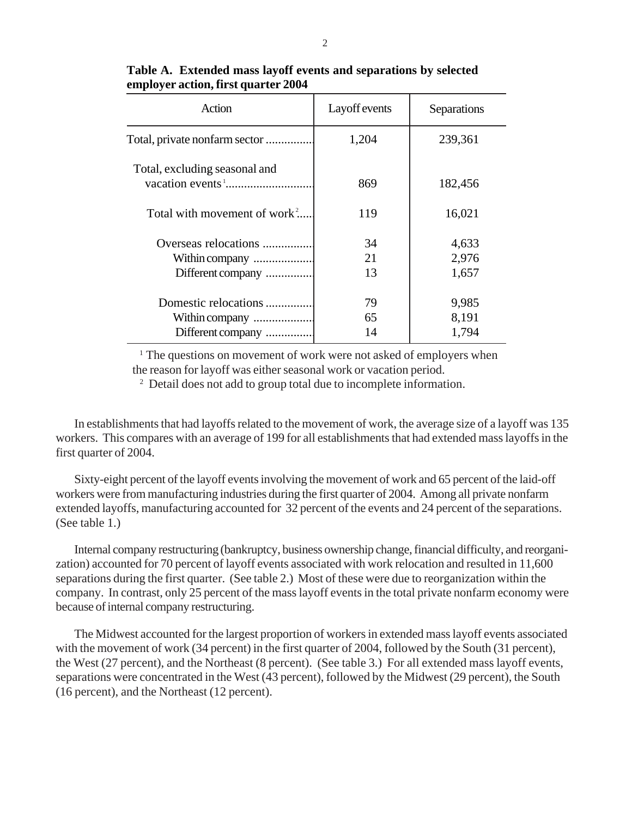| Action                                   | <b>Layoff</b> events | Separations |
|------------------------------------------|----------------------|-------------|
| Total, private nonfarm sector            | 1,204                | 239,361     |
| Total, excluding seasonal and            | 869                  | 182,456     |
| Total with movement of work <sup>2</sup> | 119                  | 16,021      |
| Overseas relocations                     | 34                   | 4,633       |
| Within company                           | 21                   | 2,976       |
| Different company                        | 13                   | 1,657       |
| Domestic relocations                     | 79                   | 9,985       |
| Within company                           | 65                   | 8,191       |
| Different company                        | 14                   | 1,794       |

## **Table A. Extended mass layoff events and separations by selected employer action, first quarter 2004**

<sup>1</sup> The questions on movement of work were not asked of employers when the reason for layoff was either seasonal work or vacation period.

2 Detail does not add to group total due to incomplete information.

In establishments that had layoffs related to the movement of work, the average size of a layoff was 135 workers. This compares with an average of 199 for all establishments that had extended mass layoffs in the first quarter of 2004.

Sixty-eight percent of the layoff events involving the movement of work and 65 percent of the laid-off workers were from manufacturing industries during the first quarter of 2004. Among all private nonfarm extended layoffs, manufacturing accounted for 32 percent of the events and 24 percent of the separations. (See table 1.)

Internal company restructuring (bankruptcy, business ownership change, financial difficulty, and reorganization) accounted for 70 percent of layoff events associated with work relocation and resulted in 11,600 separations during the first quarter. (See table 2.) Most of these were due to reorganization within the company. In contrast, only 25 percent of the mass layoff events in the total private nonfarm economy were because of internal company restructuring.

The Midwest accounted for the largest proportion of workers in extended mass layoff events associated with the movement of work (34 percent) in the first quarter of 2004, followed by the South (31 percent), the West (27 percent), and the Northeast (8 percent). (See table 3.) For all extended mass layoff events, separations were concentrated in the West (43 percent), followed by the Midwest (29 percent), the South (16 percent), and the Northeast (12 percent).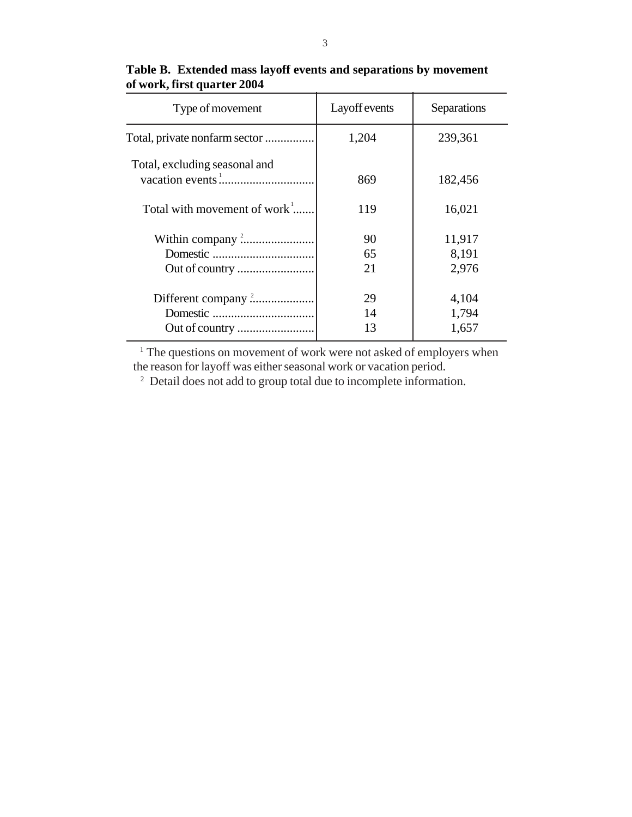| Type of movement                    | Layoff events | Separations     |
|-------------------------------------|---------------|-----------------|
| Total, private nonfarm sector       | 1,204         | 239,361         |
| Total, excluding seasonal and       | 869           | 182,456         |
| Total with movement of work $\cdot$ | 119           | 16,021          |
|                                     | 90<br>65      | 11,917<br>8,191 |
|                                     | 21            | 2,976           |
|                                     | 29            | 4,104           |
|                                     | 14            | 1,794           |
|                                     | 13            | 1,657           |

# **Table B. Extended mass layoff events and separations by movement of work, first quarter 2004**

 $1$  The questions on movement of work were not asked of employers when the reason for layoff was either seasonal work or vacation period.

2 Detail does not add to group total due to incomplete information.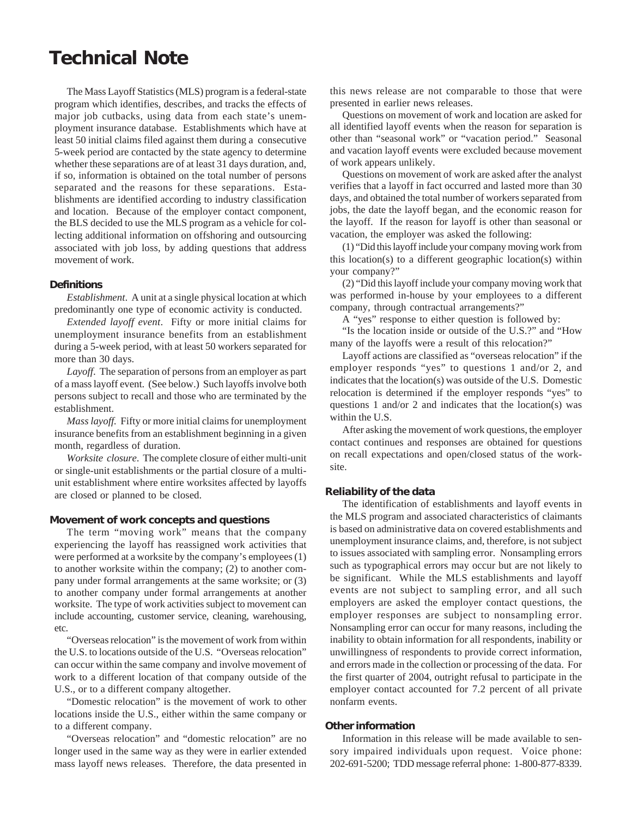# **Technical Note**

The Mass Layoff Statistics (MLS) program is a federal-state program which identifies, describes, and tracks the effects of major job cutbacks, using data from each state's unemployment insurance database. Establishments which have at least 50 initial claims filed against them during a consecutive 5-week period are contacted by the state agency to determine whether these separations are of at least 31 days duration, and, if so, information is obtained on the total number of persons separated and the reasons for these separations. Establishments are identified according to industry classification and location. Because of the employer contact component, the BLS decided to use the MLS program as a vehicle for collecting additional information on offshoring and outsourcing associated with job loss, by adding questions that address movement of work.

#### **Definitions**

*Establishment*. A unit at a single physical location at which predominantly one type of economic activity is conducted.

*Extended layoff event*. Fifty or more initial claims for unemployment insurance benefits from an establishment during a 5-week period, with at least 50 workers separated for more than 30 days.

*Layoff*. The separation of persons from an employer as part of a mass layoff event. (See below.) Such layoffs involve both persons subject to recall and those who are terminated by the establishment.

*Mass layoff.* Fifty or more initial claims for unemployment insurance benefits from an establishment beginning in a given month, regardless of duration.

*Worksite closure*. The complete closure of either multi-unit or single-unit establishments or the partial closure of a multiunit establishment where entire worksites affected by layoffs are closed or planned to be closed.

#### **Movement of work concepts and questions**

The term "moving work" means that the company experiencing the layoff has reassigned work activities that were performed at a worksite by the company's employees (1) to another worksite within the company; (2) to another company under formal arrangements at the same worksite; or (3) to another company under formal arrangements at another worksite. The type of work activities subject to movement can include accounting, customer service, cleaning, warehousing, etc.

"Overseas relocation" is the movement of work from within the U.S. to locations outside of the U.S. "Overseas relocation" can occur within the same company and involve movement of work to a different location of that company outside of the U.S., or to a different company altogether.

"Domestic relocation" is the movement of work to other locations inside the U.S., either within the same company or to a different company.

"Overseas relocation" and "domestic relocation" are no longer used in the same way as they were in earlier extended mass layoff news releases. Therefore, the data presented in this news release are not comparable to those that were presented in earlier news releases.

Questions on movement of work and location are asked for all identified layoff events when the reason for separation is other than "seasonal work" or "vacation period." Seasonal and vacation layoff events were excluded because movement of work appears unlikely.

Questions on movement of work are asked after the analyst verifies that a layoff in fact occurred and lasted more than 30 days, and obtained the total number of workers separated from jobs, the date the layoff began, and the economic reason for the layoff. If the reason for layoff is other than seasonal or vacation, the employer was asked the following:

(1) "Did this layoff include your company moving work from this location(s) to a different geographic location(s) within your company?"

(2) "Did this layoff include your company moving work that was performed in-house by your employees to a different company, through contractual arrangements?"

A "yes" response to either question is followed by:

"Is the location inside or outside of the U.S.?" and "How many of the layoffs were a result of this relocation?"

Layoff actions are classified as "overseas relocation" if the employer responds "yes" to questions 1 and/or 2, and indicates that the location(s) was outside of the U.S. Domestic relocation is determined if the employer responds "yes" to questions 1 and/or 2 and indicates that the location(s) was within the U.S.

After asking the movement of work questions, the employer contact continues and responses are obtained for questions on recall expectations and open/closed status of the worksite.

#### **Reliability of the data**

The identification of establishments and layoff events in the MLS program and associated characteristics of claimants is based on administrative data on covered establishments and unemployment insurance claims, and, therefore, is not subject to issues associated with sampling error. Nonsampling errors such as typographical errors may occur but are not likely to be significant. While the MLS establishments and layoff events are not subject to sampling error, and all such employers are asked the employer contact questions, the employer responses are subject to nonsampling error. Nonsampling error can occur for many reasons, including the inability to obtain information for all respondents, inability or unwillingness of respondents to provide correct information, and errors made in the collection or processing of the data. For the first quarter of 2004, outright refusal to participate in the employer contact accounted for 7.2 percent of all private nonfarm events.

### **Other information**

Information in this release will be made available to sensory impaired individuals upon request. Voice phone: 202-691-5200; TDD message referral phone: 1-800-877-8339.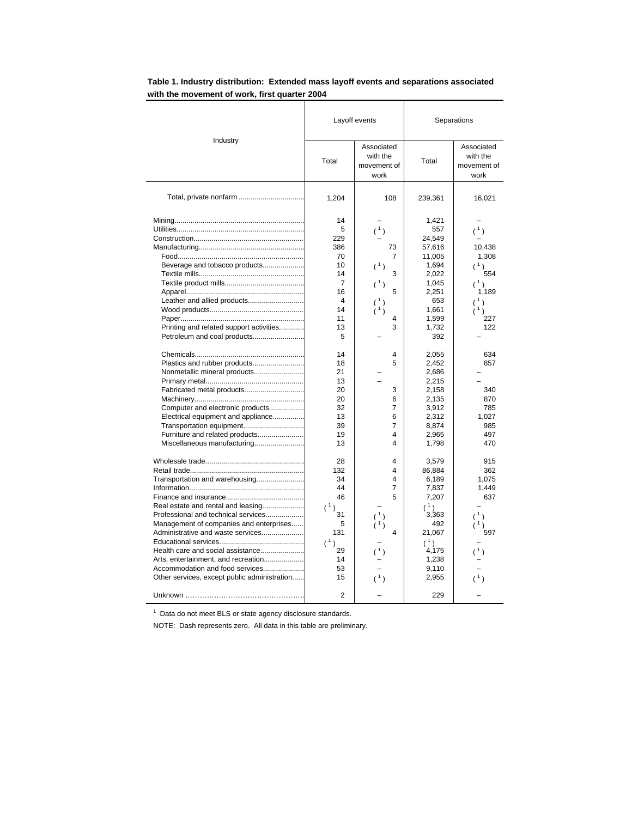|                                                                                                                                                                                                                                                                                                                                                                                                                                              | Layoff events                                                                                                                                                             |                                                                                                                                             | Separations                                                                                                                                                                                                                                                     |                                                                                                                                                                                                                            |
|----------------------------------------------------------------------------------------------------------------------------------------------------------------------------------------------------------------------------------------------------------------------------------------------------------------------------------------------------------------------------------------------------------------------------------------------|---------------------------------------------------------------------------------------------------------------------------------------------------------------------------|---------------------------------------------------------------------------------------------------------------------------------------------|-----------------------------------------------------------------------------------------------------------------------------------------------------------------------------------------------------------------------------------------------------------------|----------------------------------------------------------------------------------------------------------------------------------------------------------------------------------------------------------------------------|
| Industry                                                                                                                                                                                                                                                                                                                                                                                                                                     | Total                                                                                                                                                                     | Associated<br>with the<br>movement of<br>work                                                                                               | Total                                                                                                                                                                                                                                                           | Associated<br>with the<br>movement of<br>work                                                                                                                                                                              |
|                                                                                                                                                                                                                                                                                                                                                                                                                                              | 1,204                                                                                                                                                                     | 108                                                                                                                                         | 239,361                                                                                                                                                                                                                                                         | 16,021                                                                                                                                                                                                                     |
| Beverage and tobacco products<br>Leather and allied products<br>Printing and related support activities<br>Petroleum and coal products<br>Plastics and rubber products<br>Nonmetallic mineral products<br>Fabricated metal products<br>Computer and electronic products<br>Electrical equipment and appliance<br>Transportation equipment<br>Furniture and related products<br>Miscellaneous manufacturing<br>Transportation and warehousing | 14<br>5<br>229<br>386<br>70<br>10<br>14<br>7<br>16<br>4<br>14<br>11<br>13<br>5<br>14<br>18<br>21<br>13<br>20<br>20<br>32<br>13<br>39<br>19<br>13<br>28<br>132<br>34<br>44 | (1)<br>73<br>7<br>(1)<br>3<br>(1)<br>5<br>(1)<br>1)<br>4<br>3<br>4<br>5<br>3<br>6<br>7<br>6<br>$\overline{7}$<br>4<br>4<br>4<br>4<br>4<br>7 | 1,421<br>557<br>24,549<br>57,616<br>11,005<br>1,694<br>2,022<br>1,045<br>2,251<br>653<br>1,661<br>1,599<br>1,732<br>392<br>2,055<br>2,452<br>2,686<br>2,215<br>2,158<br>2,135<br>3,912<br>2,312<br>8,874<br>2,965<br>1,798<br>3,579<br>86,884<br>6,189<br>7,837 | $(\begin{smallmatrix}1\\1\end{smallmatrix})$<br>10,438<br>1,308<br>(1)<br>554<br>(1)<br>1,189<br>(1)<br>(1)<br>227<br>122<br>634<br>857<br>340<br>870<br>785<br>1,027<br>985<br>497<br>470<br>915<br>362<br>1,075<br>1,449 |
| Real estate and rental and leasing<br>Professional and technical services<br>Management of companies and enterprises<br>Administrative and waste services<br>Health care and social assistance<br>Arts, entertainment, and recreation<br>Accommodation and food services<br>Other services, except public administration                                                                                                                     | 46<br>(1)<br>31<br>5<br>131<br>(1)<br>29<br>14<br>53<br>15                                                                                                                | 5<br>$(^{1})$<br>$\overline{4}$<br>(1)<br>(1)                                                                                               | 7,207<br>(1)<br>3,363<br>492<br>21,067<br>(1)<br>4,175<br>1,238<br>9,110<br>2,955                                                                                                                                                                               | 637<br>(1)<br>$\lambda$<br>597<br>(1)<br>(1)                                                                                                                                                                               |
|                                                                                                                                                                                                                                                                                                                                                                                                                                              | 2                                                                                                                                                                         |                                                                                                                                             | 229                                                                                                                                                                                                                                                             |                                                                                                                                                                                                                            |

## **Table 1. Industry distribution: Extended mass layoff events and separations associated with the movement of work, first quarter 2004**

 $1$  Data do not meet BLS or state agency disclosure standards.

NOTE: Dash represents zero. All data in this table are preliminary.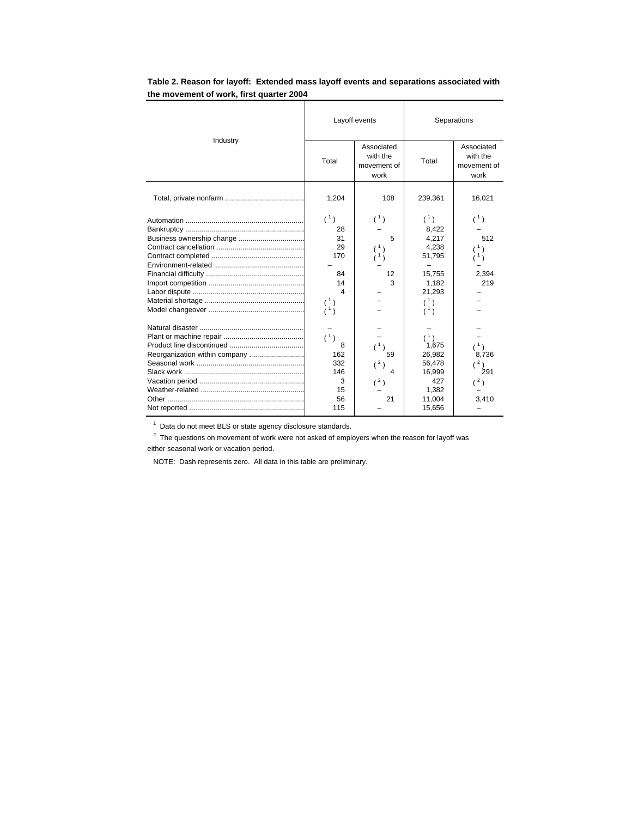|                           | Layoff events |                                               | Separations |                                               |
|---------------------------|---------------|-----------------------------------------------|-------------|-----------------------------------------------|
| Industry                  | Total         | Associated<br>with the<br>movement of<br>work | Total       | Associated<br>with the<br>movement of<br>work |
|                           | 1,204         | 108                                           | 239,361     | 16,021                                        |
|                           | (1)           | (1)                                           | (1)         | (1)                                           |
|                           | 28            |                                               | 8,422       |                                               |
| Business ownership change | 31            | 5                                             | 4,217       | 512                                           |
|                           | 29            | (1)                                           | 4,238       | (1)                                           |
|                           | 170           | (1)                                           | 51,795      |                                               |
|                           |               |                                               |             |                                               |
|                           | 84            | 12                                            | 15,755      | 2,394                                         |
|                           | 14            | 3                                             | 1,182       | 219                                           |
|                           | $\Delta$      |                                               | 21,293      |                                               |
|                           | (1)           |                                               | (1)         |                                               |
|                           | (1)           |                                               | (1)         |                                               |
|                           |               |                                               |             |                                               |
|                           | (1)           |                                               | (1)         |                                               |
|                           | 8             | (1)                                           | 1,675       | (1)                                           |
|                           | 162           | 59                                            | 26,982      | 8,736                                         |
|                           | 332           | (2)                                           | 56,478      | (2)                                           |
|                           | 146           | 4                                             | 16,999      | 291                                           |
|                           | 3             | $(^2)$                                        | 427         | (2)                                           |
|                           | 15            |                                               | 1,382       |                                               |
|                           | 56            | 21                                            | 11,004      | 3.410                                         |
|                           | 115           |                                               | 15,656      |                                               |

## **Table 2. Reason for layoff: Extended mass layoff events and separations associated with the movement of work, first quarter 2004**

 $1$  Data do not meet BLS or state agency disclosure standards.

 $2$  The questions on movement of work were not asked of employers when the reason for layoff was either seasonal work or vacation period.

NOTE: Dash represents zero. All data in this table are preliminary.